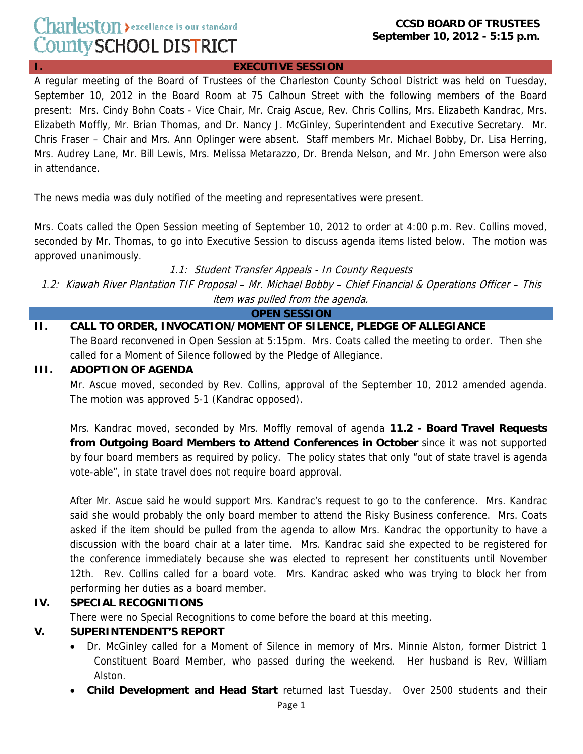#### **CCSD BOARD OF TRUSTEES September 10, 2012 - 5:15 p.m.**

#### **I. EXECUTIVE SESSION**

A regular meeting of the Board of Trustees of the Charleston County School District was held on Tuesday, September 10, 2012 in the Board Room at 75 Calhoun Street with the following members of the Board present: Mrs. Cindy Bohn Coats - Vice Chair, Mr. Craig Ascue, Rev. Chris Collins, Mrs. Elizabeth Kandrac, Mrs. Elizabeth Moffly, Mr. Brian Thomas, and Dr. Nancy J. McGinley, Superintendent and Executive Secretary. Mr. Chris Fraser – Chair and Mrs. Ann Oplinger were absent. Staff members Mr. Michael Bobby, Dr. Lisa Herring, Mrs. Audrey Lane, Mr. Bill Lewis, Mrs. Melissa Metarazzo, Dr. Brenda Nelson, and Mr. John Emerson were also in attendance.

The news media was duly notified of the meeting and representatives were present.

Mrs. Coats called the Open Session meeting of September 10, 2012 to order at 4:00 p.m. Rev. Collins moved, seconded by Mr. Thomas, to go into Executive Session to discuss agenda items listed below. The motion was approved unanimously.

1.1: Student Transfer Appeals - In County Requests

1.2: Kiawah River Plantation TIF Proposal – Mr. Michael Bobby – Chief Financial & Operations Officer – This item was pulled from the agenda.

**OPEN SESSION**

#### **II. CALL TO ORDER, INVOCATION/MOMENT OF SILENCE, PLEDGE OF ALLEGIANCE**

The Board reconvened in Open Session at 5:15pm. Mrs. Coats called the meeting to order. Then she called for a Moment of Silence followed by the Pledge of Allegiance.

#### **III. ADOPTION OF AGENDA**

Mr. Ascue moved, seconded by Rev. Collins, approval of the September 10, 2012 amended agenda. The motion was approved 5-1 (Kandrac opposed).

Mrs. Kandrac moved, seconded by Mrs. Moffly removal of agenda **11.2 - Board Travel Requests from Outgoing Board Members to Attend Conferences in October** since it was not supported by four board members as required by policy. The policy states that only "out of state travel is agenda vote-able", in state travel does not require board approval.

After Mr. Ascue said he would support Mrs. Kandrac's request to go to the conference. Mrs. Kandrac said she would probably the only board member to attend the Risky Business conference. Mrs. Coats asked if the item should be pulled from the agenda to allow Mrs. Kandrac the opportunity to have a discussion with the board chair at a later time. Mrs. Kandrac said she expected to be registered for the conference immediately because she was elected to represent her constituents until November 12th. Rev. Collins called for a board vote. Mrs. Kandrac asked who was trying to block her from performing her duties as a board member.

### **IV. SPECIAL RECOGNITIONS**

There were no Special Recognitions to come before the board at this meeting.

### **V. SUPERINTENDENT'S REPORT**

- Dr. McGinley called for a Moment of Silence in memory of Mrs. Minnie Alston, former District 1 Constituent Board Member, who passed during the weekend. Her husband is Rev, William Alston.
- **Child Development and Head Start** returned last Tuesday. Over 2500 students and their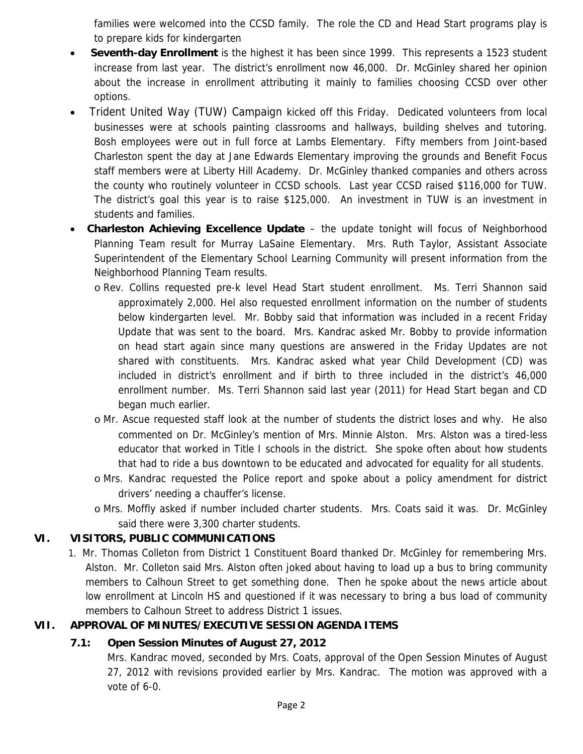families were welcomed into the CCSD family. The role the CD and Head Start programs play is to prepare kids for kindergarten

- **Seventh-day Enrollment** is the highest it has been since 1999. This represents a 1523 student increase from last year. The district's enrollment now 46,000. Dr. McGinley shared her opinion about the increase in enrollment attributing it mainly to families choosing CCSD over other options.
- Trident United Way (TUW) Campaign kicked off this Friday. Dedicated volunteers from local businesses were at schools painting classrooms and hallways, building shelves and tutoring. Bosh employees were out in full force at Lambs Elementary. Fifty members from Joint-based Charleston spent the day at Jane Edwards Elementary improving the grounds and Benefit Focus staff members were at Liberty Hill Academy. Dr. McGinley thanked companies and others across the county who routinely volunteer in CCSD schools. Last year CCSD raised \$116,000 for TUW. The district's goal this year is to raise \$125,000. An investment in TUW is an investment in students and families.
- **Charleston Achieving Excellence Update** the update tonight will focus of Neighborhood Planning Team result for Murray LaSaine Elementary. Mrs. Ruth Taylor, Assistant Associate Superintendent of the Elementary School Learning Community will present information from the Neighborhood Planning Team results.
	- o Rev. Collins requested pre-k level Head Start student enrollment. Ms. Terri Shannon said approximately 2,000. Hel also requested enrollment information on the number of students below kindergarten level. Mr. Bobby said that information was included in a recent Friday Update that was sent to the board. Mrs. Kandrac asked Mr. Bobby to provide information on head start again since many questions are answered in the Friday Updates are not shared with constituents. Mrs. Kandrac asked what year Child Development (CD) was included in district's enrollment and if birth to three included in the district's 46,000 enrollment number. Ms. Terri Shannon said last year (2011) for Head Start began and CD began much earlier.
	- o Mr. Ascue requested staff look at the number of students the district loses and why. He also commented on Dr. McGinley's mention of Mrs. Minnie Alston. Mrs. Alston was a tired-less educator that worked in Title I schools in the district. She spoke often about how students that had to ride a bus downtown to be educated and advocated for equality for all students.
	- o Mrs. Kandrac requested the Police report and spoke about a policy amendment for district drivers' needing a chauffer's license.
	- o Mrs. Moffly asked if number included charter students. Mrs. Coats said it was. Dr. McGinley said there were 3,300 charter students.

# **VI. VISITORS, PUBLIC COMMUNICATIONS**

1. Mr. Thomas Colleton from District 1 Constituent Board thanked Dr. McGinley for remembering Mrs. Alston. Mr. Colleton said Mrs. Alston often joked about having to load up a bus to bring community members to Calhoun Street to get something done. Then he spoke about the news article about low enrollment at Lincoln HS and questioned if it was necessary to bring a bus load of community members to Calhoun Street to address District 1 issues.

# **VII. APPROVAL OF MINUTES/EXECUTIVE SESSION AGENDA ITEMS**

# **7.1: Open Session Minutes of August 27, 2012**

Mrs. Kandrac moved, seconded by Mrs. Coats, approval of the Open Session Minutes of August 27, 2012 with revisions provided earlier by Mrs. Kandrac. The motion was approved with a vote of 6-0.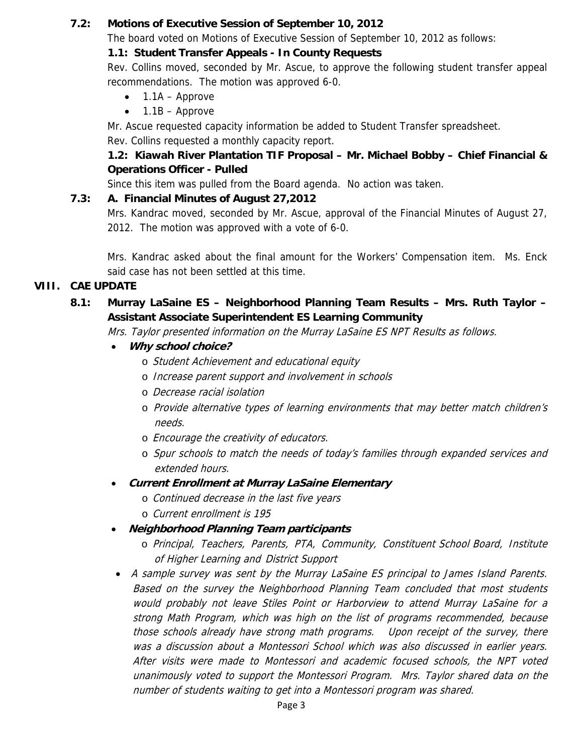### **7.2: Motions of Executive Session of September 10, 2012**

The board voted on Motions of Executive Session of September 10, 2012 as follows:

### **1.1: Student Transfer Appeals - In County Requests**

Rev. Collins moved, seconded by Mr. Ascue, to approve the following student transfer appeal recommendations. The motion was approved 6-0.

- $\bullet$  1.1A Approve
- $\bullet$  1.1B Approve

Mr. Ascue requested capacity information be added to Student Transfer spreadsheet. Rev. Collins requested a monthly capacity report.

# **1.2: Kiawah River Plantation TIF Proposal – Mr. Michael Bobby – Chief Financial & Operations Officer - Pulled**

Since this item was pulled from the Board agenda. No action was taken.

# **7.3: A. Financial Minutes of August 27,2012**

Mrs. Kandrac moved, seconded by Mr. Ascue, approval of the Financial Minutes of August 27, 2012. The motion was approved with a vote of 6-0.

Mrs. Kandrac asked about the final amount for the Workers' Compensation item. Ms. Enck said case has not been settled at this time.

# **VIII. CAE UPDATE**

# **8.1: Murray LaSaine ES – Neighborhood Planning Team Results – Mrs. Ruth Taylor – Assistant Associate Superintendent ES Learning Community**

Mrs. Taylor presented information on the Murray LaSaine ES NPT Results as follows.

- **Why school choice?** 
	- o Student Achievement and educational equity
	- o Increase parent support and involvement in schools
	- o Decrease racial isolation
	- o Provide alternative types of learning environments that may better match children's needs.
	- o *Encourage the creativity of educators*.
	- o Spur schools to match the needs of today's families through expanded services and extended hours.
- **Current Enrollment at Murray LaSaine Elementary** 
	- o Continued decrease in the last five years
	- o Current enrollment is 195
- **Neighborhood Planning Team participants** 
	- o Principal, Teachers, Parents, PTA, Community, Constituent School Board, Institute of Higher Learning and District Support
- A sample survey was sent by the Murray LaSaine ES principal to James Island Parents. Based on the survey the Neighborhood Planning Team concluded that most students would probably not leave Stiles Point or Harborview to attend Murray LaSaine for a strong Math Program, which was high on the list of programs recommended, because those schools already have strong math programs. Upon receipt of the survey, there was a discussion about a Montessori School which was also discussed in earlier years. After visits were made to Montessori and academic focused schools, the NPT voted unanimously voted to support the Montessori Program. Mrs. Taylor shared data on the number of students waiting to get into a Montessori program was shared.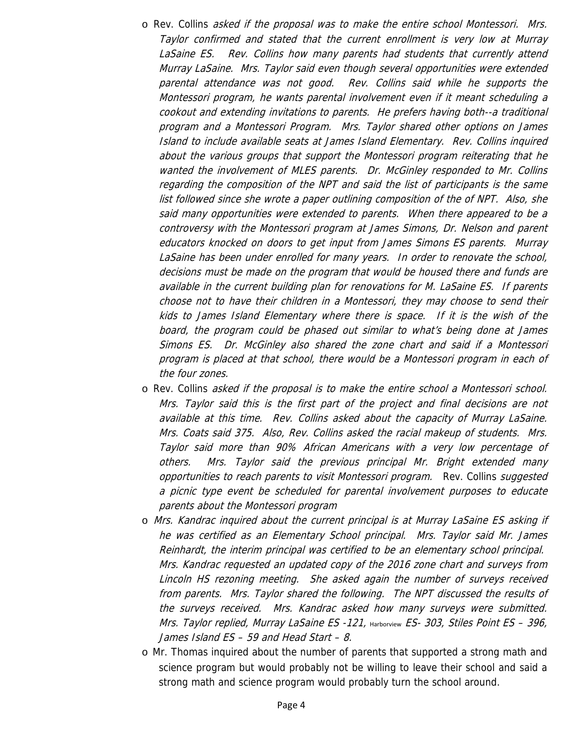- o Rev. Collins asked if the proposal was to make the entire school Montessori. Mrs. Taylor confirmed and stated that the current enrollment is very low at Murray LaSaine ES. Rev. Collins how many parents had students that currently attend Murray LaSaine. Mrs. Taylor said even though several opportunities were extended parental attendance was not good. Rev. Collins said while he supports the Montessori program, he wants parental involvement even if it meant scheduling a cookout and extending invitations to parents. He prefers having both--a traditional program and a Montessori Program. Mrs. Taylor shared other options on James Island to include available seats at James Island Elementary. Rev. Collins inquired about the various groups that support the Montessori program reiterating that he wanted the involvement of MLES parents. Dr. McGinley responded to Mr. Collins regarding the composition of the NPT and said the list of participants is the same list followed since she wrote a paper outlining composition of the of NPT. Also, she said many opportunities were extended to parents. When there appeared to be a controversy with the Montessori program at James Simons, Dr. Nelson and parent educators knocked on doors to get input from James Simons ES parents. Murray LaSaine has been under enrolled for many years. In order to renovate the school, decisions must be made on the program that would be housed there and funds are available in the current building plan for renovations for M. LaSaine ES. If parents choose not to have their children in a Montessori, they may choose to send their kids to James Island Elementary where there is space. If it is the wish of the board, the program could be phased out similar to what's being done at James Simons ES. Dr. McGinley also shared the zone chart and said if a Montessori program is placed at that school, there would be a Montessori program in each of the four zones.
- o Rev. Collins asked if the proposal is to make the entire school a Montessori school. Mrs. Taylor said this is the first part of the project and final decisions are not available at this time. Rev. Collins asked about the capacity of Murray LaSaine. Mrs. Coats said 375. Also, Rev. Collins asked the racial makeup of students. Mrs. Taylor said more than 90% African Americans with a very low percentage of others. Mrs. Taylor said the previous principal Mr. Bright extended many opportunities to reach parents to visit Montessori program. Rev. Collins suggested a picnic type event be scheduled for parental involvement purposes to educate parents about the Montessori program
- o Mrs. Kandrac inquired about the current principal is at Murray LaSaine ES asking if he was certified as an Elementary School principal. Mrs. Taylor said Mr. James Reinhardt, the interim principal was certified to be an elementary school principal. Mrs. Kandrac requested an updated copy of the 2016 zone chart and surveys from Lincoln HS rezoning meeting. She asked again the number of surveys received from parents. Mrs. Taylor shared the following. The NPT discussed the results of the surveys received. Mrs. Kandrac asked how many surveys were submitted. Mrs. Taylor replied, Murray LaSaine ES -121, Harborview ES- 303, Stiles Point ES - 396, James Island ES – 59 and Head Start – 8.
- o Mr. Thomas inquired about the number of parents that supported a strong math and science program but would probably not be willing to leave their school and said a strong math and science program would probably turn the school around.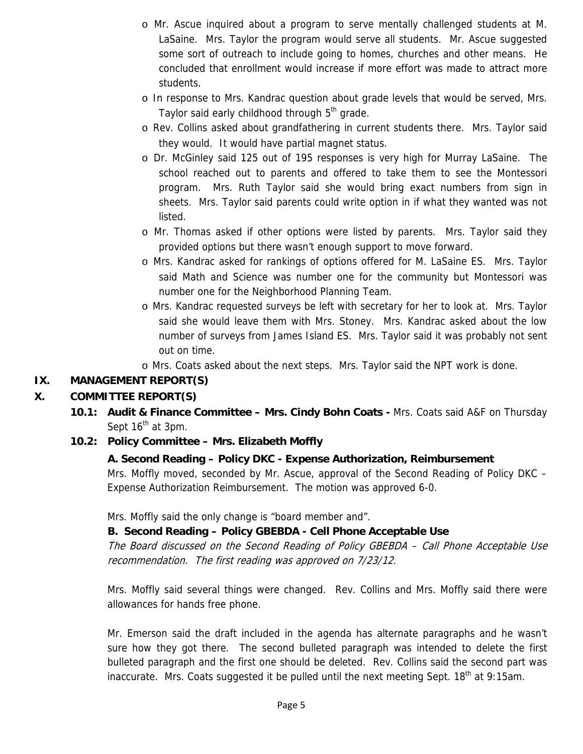- o Mr. Ascue inquired about a program to serve mentally challenged students at M. LaSaine. Mrs. Taylor the program would serve all students. Mr. Ascue suggested some sort of outreach to include going to homes, churches and other means. He concluded that enrollment would increase if more effort was made to attract more students.
- o In response to Mrs. Kandrac question about grade levels that would be served, Mrs. Taylor said early childhood through 5<sup>th</sup> grade.
- o Rev. Collins asked about grandfathering in current students there. Mrs. Taylor said they would. It would have partial magnet status.
- o Dr. McGinley said 125 out of 195 responses is very high for Murray LaSaine. The school reached out to parents and offered to take them to see the Montessori program. Mrs. Ruth Taylor said she would bring exact numbers from sign in sheets. Mrs. Taylor said parents could write option in if what they wanted was not listed.
- o Mr. Thomas asked if other options were listed by parents. Mrs. Taylor said they provided options but there wasn't enough support to move forward.
- o Mrs. Kandrac asked for rankings of options offered for M. LaSaine ES. Mrs. Taylor said Math and Science was number one for the community but Montessori was number one for the Neighborhood Planning Team.
- o Mrs. Kandrac requested surveys be left with secretary for her to look at. Mrs. Taylor said she would leave them with Mrs. Stoney. Mrs. Kandrac asked about the low number of surveys from James Island ES. Mrs. Taylor said it was probably not sent out on time.
- o Mrs. Coats asked about the next steps. Mrs. Taylor said the NPT work is done.

# **IX. MANAGEMENT REPORT(S)**

# **X. COMMITTEE REPORT(S)**

**10.1: Audit & Finance Committee – Mrs. Cindy Bohn Coats -** Mrs. Coats said A&F on Thursday Sept  $16<sup>th</sup>$  at 3pm.

### **10.2: Policy Committee – Mrs. Elizabeth Moffly**

### **A. Second Reading – Policy DKC - Expense Authorization, Reimbursement**

Mrs. Moffly moved, seconded by Mr. Ascue, approval of the Second Reading of Policy DKC – Expense Authorization Reimbursement. The motion was approved 6-0.

Mrs. Moffly said the only change is "board member and".

### **B. Second Reading – Policy GBEBDA - Cell Phone Acceptable Use**

The Board discussed on the Second Reading of Policy GBEBDA – Call Phone Acceptable Use recommendation. The first reading was approved on 7/23/12.

Mrs. Moffly said several things were changed. Rev. Collins and Mrs. Moffly said there were allowances for hands free phone.

Mr. Emerson said the draft included in the agenda has alternate paragraphs and he wasn't sure how they got there. The second bulleted paragraph was intended to delete the first bulleted paragraph and the first one should be deleted. Rev. Collins said the second part was inaccurate. Mrs. Coats suggested it be pulled until the next meeting Sept.  $18<sup>th</sup>$  at 9:15am.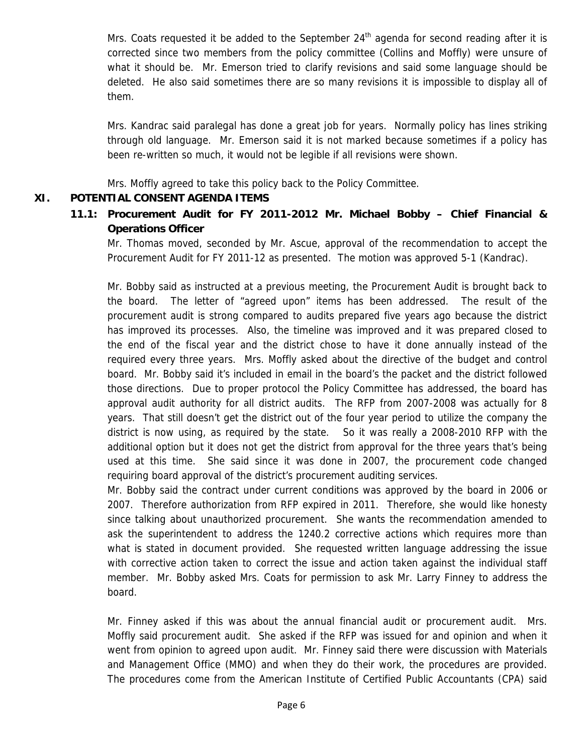Mrs. Coats requested it be added to the September  $24<sup>th</sup>$  agenda for second reading after it is corrected since two members from the policy committee (Collins and Moffly) were unsure of what it should be. Mr. Emerson tried to clarify revisions and said some language should be deleted. He also said sometimes there are so many revisions it is impossible to display all of them.

Mrs. Kandrac said paralegal has done a great job for years. Normally policy has lines striking through old language. Mr. Emerson said it is not marked because sometimes if a policy has been re-written so much, it would not be legible if all revisions were shown.

Mrs. Moffly agreed to take this policy back to the Policy Committee.

### **XI. POTENTIAL CONSENT AGENDA ITEMS**

**11.1: Procurement Audit for FY 2011-2012 Mr. Michael Bobby – Chief Financial & Operations Officer** 

Mr. Thomas moved, seconded by Mr. Ascue, approval of the recommendation to accept the Procurement Audit for FY 2011-12 as presented. The motion was approved 5-1 (Kandrac).

Mr. Bobby said as instructed at a previous meeting, the Procurement Audit is brought back to the board. The letter of "agreed upon" items has been addressed. The result of the procurement audit is strong compared to audits prepared five years ago because the district has improved its processes. Also, the timeline was improved and it was prepared closed to the end of the fiscal year and the district chose to have it done annually instead of the required every three years. Mrs. Moffly asked about the directive of the budget and control board. Mr. Bobby said it's included in email in the board's the packet and the district followed those directions. Due to proper protocol the Policy Committee has addressed, the board has approval audit authority for all district audits. The RFP from 2007-2008 was actually for 8 years. That still doesn't get the district out of the four year period to utilize the company the district is now using, as required by the state. So it was really a 2008-2010 RFP with the additional option but it does not get the district from approval for the three years that's being used at this time. She said since it was done in 2007, the procurement code changed requiring board approval of the district's procurement auditing services.

Mr. Bobby said the contract under current conditions was approved by the board in 2006 or 2007. Therefore authorization from RFP expired in 2011. Therefore, she would like honesty since talking about unauthorized procurement. She wants the recommendation amended to ask the superintendent to address the 1240.2 corrective actions which requires more than what is stated in document provided. She requested written language addressing the issue with corrective action taken to correct the issue and action taken against the individual staff member. Mr. Bobby asked Mrs. Coats for permission to ask Mr. Larry Finney to address the board.

Mr. Finney asked if this was about the annual financial audit or procurement audit. Mrs. Moffly said procurement audit. She asked if the RFP was issued for and opinion and when it went from opinion to agreed upon audit. Mr. Finney said there were discussion with Materials and Management Office (MMO) and when they do their work, the procedures are provided. The procedures come from the American Institute of Certified Public Accountants (CPA) said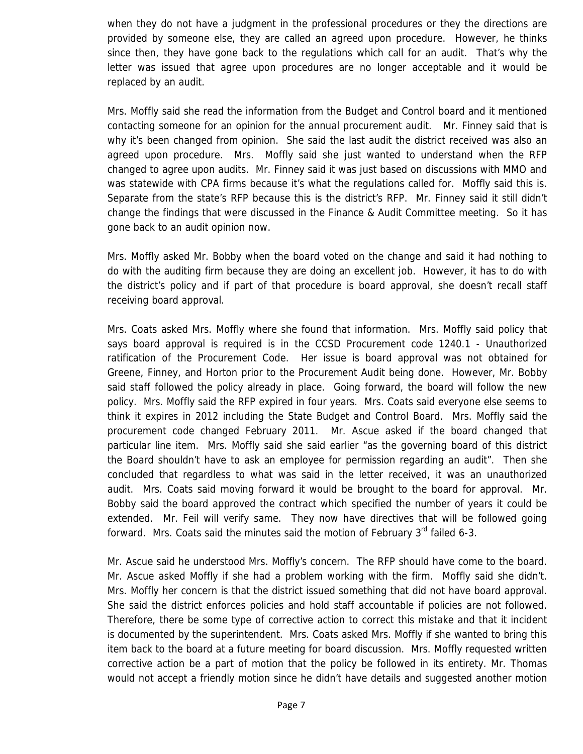when they do not have a judgment in the professional procedures or they the directions are provided by someone else, they are called an agreed upon procedure. However, he thinks since then, they have gone back to the regulations which call for an audit. That's why the letter was issued that agree upon procedures are no longer acceptable and it would be replaced by an audit.

Mrs. Moffly said she read the information from the Budget and Control board and it mentioned contacting someone for an opinion for the annual procurement audit. Mr. Finney said that is why it's been changed from opinion. She said the last audit the district received was also an agreed upon procedure. Mrs. Moffly said she just wanted to understand when the RFP changed to agree upon audits. Mr. Finney said it was just based on discussions with MMO and was statewide with CPA firms because it's what the regulations called for. Moffly said this is. Separate from the state's RFP because this is the district's RFP. Mr. Finney said it still didn't change the findings that were discussed in the Finance & Audit Committee meeting. So it has gone back to an audit opinion now.

Mrs. Moffly asked Mr. Bobby when the board voted on the change and said it had nothing to do with the auditing firm because they are doing an excellent job. However, it has to do with the district's policy and if part of that procedure is board approval, she doesn't recall staff receiving board approval.

Mrs. Coats asked Mrs. Moffly where she found that information. Mrs. Moffly said policy that says board approval is required is in the CCSD Procurement code 1240.1 - Unauthorized ratification of the Procurement Code. Her issue is board approval was not obtained for Greene, Finney, and Horton prior to the Procurement Audit being done. However, Mr. Bobby said staff followed the policy already in place. Going forward, the board will follow the new policy. Mrs. Moffly said the RFP expired in four years. Mrs. Coats said everyone else seems to think it expires in 2012 including the State Budget and Control Board. Mrs. Moffly said the procurement code changed February 2011. Mr. Ascue asked if the board changed that particular line item. Mrs. Moffly said she said earlier "as the governing board of this district the Board shouldn't have to ask an employee for permission regarding an audit". Then she concluded that regardless to what was said in the letter received, it was an unauthorized audit. Mrs. Coats said moving forward it would be brought to the board for approval. Mr. Bobby said the board approved the contract which specified the number of years it could be extended. Mr. Feil will verify same. They now have directives that will be followed going forward. Mrs. Coats said the minutes said the motion of February  $3<sup>rd</sup>$  failed 6-3.

Mr. Ascue said he understood Mrs. Moffly's concern. The RFP should have come to the board. Mr. Ascue asked Moffly if she had a problem working with the firm. Moffly said she didn't. Mrs. Moffly her concern is that the district issued something that did not have board approval. She said the district enforces policies and hold staff accountable if policies are not followed. Therefore, there be some type of corrective action to correct this mistake and that it incident is documented by the superintendent. Mrs. Coats asked Mrs. Moffly if she wanted to bring this item back to the board at a future meeting for board discussion. Mrs. Moffly requested written corrective action be a part of motion that the policy be followed in its entirety. Mr. Thomas would not accept a friendly motion since he didn't have details and suggested another motion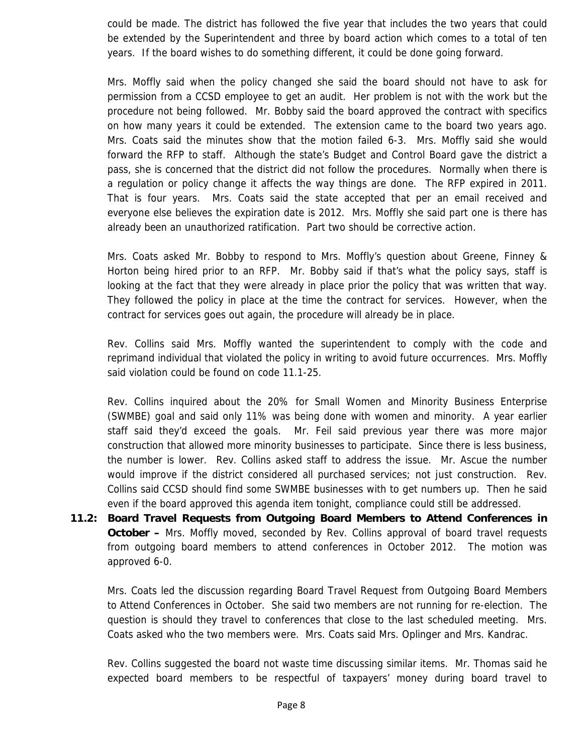could be made. The district has followed the five year that includes the two years that could be extended by the Superintendent and three by board action which comes to a total of ten years. If the board wishes to do something different, it could be done going forward.

Mrs. Moffly said when the policy changed she said the board should not have to ask for permission from a CCSD employee to get an audit. Her problem is not with the work but the procedure not being followed. Mr. Bobby said the board approved the contract with specifics on how many years it could be extended. The extension came to the board two years ago. Mrs. Coats said the minutes show that the motion failed 6-3. Mrs. Moffly said she would forward the RFP to staff. Although the state's Budget and Control Board gave the district a pass, she is concerned that the district did not follow the procedures. Normally when there is a regulation or policy change it affects the way things are done. The RFP expired in 2011. That is four years. Mrs. Coats said the state accepted that per an email received and everyone else believes the expiration date is 2012. Mrs. Moffly she said part one is there has already been an unauthorized ratification. Part two should be corrective action.

Mrs. Coats asked Mr. Bobby to respond to Mrs. Moffly's question about Greene, Finney & Horton being hired prior to an RFP. Mr. Bobby said if that's what the policy says, staff is looking at the fact that they were already in place prior the policy that was written that way. They followed the policy in place at the time the contract for services. However, when the contract for services goes out again, the procedure will already be in place.

Rev. Collins said Mrs. Moffly wanted the superintendent to comply with the code and reprimand individual that violated the policy in writing to avoid future occurrences. Mrs. Moffly said violation could be found on code 11.1-25.

Rev. Collins inquired about the 20% for Small Women and Minority Business Enterprise (SWMBE) goal and said only 11% was being done with women and minority. A year earlier staff said they'd exceed the goals. Mr. Feil said previous year there was more major construction that allowed more minority businesses to participate. Since there is less business, the number is lower. Rev. Collins asked staff to address the issue. Mr. Ascue the number would improve if the district considered all purchased services; not just construction. Rev. Collins said CCSD should find some SWMBE businesses with to get numbers up. Then he said even if the board approved this agenda item tonight, compliance could still be addressed.

**11.2: Board Travel Requests from Outgoing Board Members to Attend Conferences in October –** Mrs. Moffly moved, seconded by Rev. Collins approval of board travel requests from outgoing board members to attend conferences in October 2012. The motion was approved 6-0.

Mrs. Coats led the discussion regarding Board Travel Request from Outgoing Board Members to Attend Conferences in October. She said two members are not running for re-election. The question is should they travel to conferences that close to the last scheduled meeting. Mrs. Coats asked who the two members were. Mrs. Coats said Mrs. Oplinger and Mrs. Kandrac.

Rev. Collins suggested the board not waste time discussing similar items. Mr. Thomas said he expected board members to be respectful of taxpayers' money during board travel to